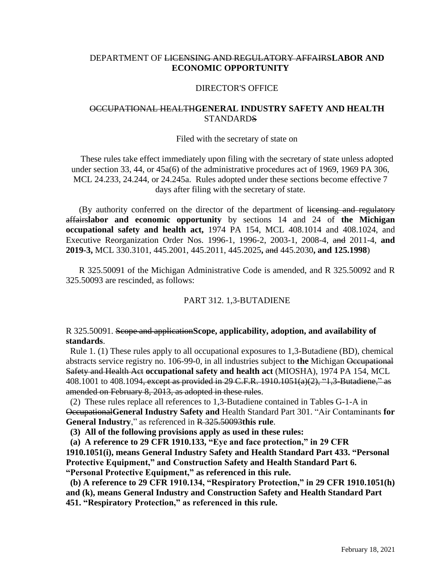# DEPARTMENT OF LICENSING AND REGULATORY AFFAIRS**LABOR AND ECONOMIC OPPORTUNITY**

### DIRECTOR'S OFFICE

# OCCUPATIONAL HEALTH**GENERAL INDUSTRY SAFETY AND HEALTH STANDARDS**

#### Filed with the secretary of state on

These rules take effect immediately upon filing with the secretary of state unless adopted under section 33, 44, or 45a(6) of the administrative procedures act of 1969, 1969 PA 306, MCL 24.233, 24.244, or 24.245a. Rules adopted under these sections become effective 7 days after filing with the secretary of state.

(By authority conferred on the director of the department of licensing and regulatory affairs**labor and economic opportunity** by sections 14 and 24 of **the Michigan occupational safety and health act,** 1974 PA 154, MCL 408.1014 and 408.1024, and Executive Reorganization Order Nos. 1996-1, 1996-2, 2003-1, 2008-4, and 2011-4, **and 2019-3,** MCL 330.3101, 445.2001, 445.2011, 445.2025**,** and 445.2030**, and 125.1998**)

R 325.50091 of the Michigan Administrative Code is amended, and R 325.50092 and R 325.50093 are rescinded, as follows:

### PART 312. 1,3-BUTADIENE

### R 325.50091. Scope and application**Scope, applicability, adoption, and availability of standards**.

 Rule 1. (1) These rules apply to all occupational exposures to 1,3-Butadiene (BD), chemical abstracts service registry no. 106-99-0, in all industries subject to **the** Michigan Occupational Safety and Health Act **occupational safety and health act** (MIOSHA), 1974 PA 154, MCL 408.1001 to 408.1094, except as provided in 29 C.F.R. 1910.1051(a)(2), "1,3-Butadiene," as amended on February 8, 2013, as adopted in these rules.

 (2) These rules replace all references to 1,3-Butadiene contained in Tables G-1-A in Occupational**General Industry Safety and** Health Standard Part 301. "Air Contaminants **for General Industry**," as referenced in R 325.50093**this rule**.

**(3) All of the following provisions apply as used in these rules:**

 **(a) A reference to 29 CFR 1910.133, "Eye and face protection," in 29 CFR 1910.1051(i), means General Industry Safety and Health Standard Part 433. "Personal Protective Equipment," and Construction Safety and Health Standard Part 6. "Personal Protective Equipment," as referenced in this rule.** 

 **(b) A reference to 29 CFR 1910.134, "Respiratory Protection," in 29 CFR 1910.1051(h) and (k), means General Industry and Construction Safety and Health Standard Part 451. "Respiratory Protection," as referenced in this rule.**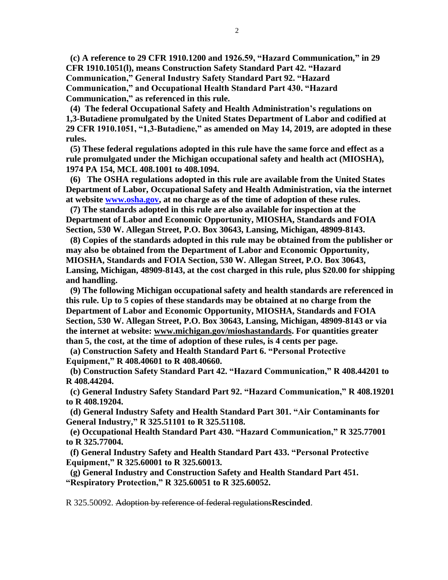**(c) A reference to 29 CFR 1910.1200 and 1926.59, "Hazard Communication," in 29 CFR 1910.1051(l), means Construction Safety Standard Part 42. "Hazard Communication," General Industry Safety Standard Part 92. "Hazard Communication," and Occupational Health Standard Part 430. "Hazard Communication," as referenced in this rule.** 

 **(4) The federal Occupational Safety and Health Administration's regulations on 1,3-Butadiene promulgated by the United States Department of Labor and codified at 29 CFR 1910.1051, "1,3-Butadiene," as amended on May 14, 2019, are adopted in these rules.** 

 **(5) These federal regulations adopted in this rule have the same force and effect as a rule promulgated under the Michigan occupational safety and health act (MIOSHA), 1974 PA 154, MCL 408.1001 to 408.1094.**

 **(6) The OSHA regulations adopted in this rule are available from the United States Department of Labor, Occupational Safety and Health Administration, via the internet at website [www.osha.gov,](http://www.osha.gov/) at no charge as of the time of adoption of these rules.** 

 **(7) The standards adopted in this rule are also available for inspection at the Department of Labor and Economic Opportunity, MIOSHA, Standards and FOIA Section, 530 W. Allegan Street, P.O. Box 30643, Lansing, Michigan, 48909-8143.**

 **(8) Copies of the standards adopted in this rule may be obtained from the publisher or may also be obtained from the Department of Labor and Economic Opportunity, MIOSHA, Standards and FOIA Section, 530 W. Allegan Street, P.O. Box 30643, Lansing, Michigan, 48909-8143, at the cost charged in this rule, plus \$20.00 for shipping and handling.**

 **(9) The following Michigan occupational safety and health standards are referenced in this rule. Up to 5 copies of these standards may be obtained at no charge from the Department of Labor and Economic Opportunity, MIOSHA, Standards and FOIA Section, 530 W. Allegan Street, P.O. Box 30643, Lansing, Michigan, 48909-8143 or via the internet at website: [www.michigan.gov/mioshastandards.](http://www.michigan.gov/mioshastandards) For quantities greater than 5, the cost, at the time of adoption of these rules, is 4 cents per page.**

**(a) Construction Safety and Health Standard Part 6. "Personal Protective Equipment," R 408.40601 to R 408.40660.**

 **(b) Construction Safety Standard Part 42. "Hazard Communication," R 408.44201 to R 408.44204.**

 **(c) General Industry Safety Standard Part 92. "Hazard Communication," R 408.19201 to R 408.19204.**

 **(d) General Industry Safety and Health Standard Part 301. "Air Contaminants for General Industry," R 325.51101 to R 325.51108.**

 **(e) Occupational Health Standard Part 430. "Hazard Communication," R 325.77001 to R 325.77004.** 

 **(f) General Industry Safety and Health Standard Part 433. "Personal Protective Equipment," R 325.60001 to R 325.60013.**

 **(g) General Industry and Construction Safety and Health Standard Part 451. "Respiratory Protection," R 325.60051 to R 325.60052.**

R 325.50092. Adoption by reference of federal regulations**Rescinded**.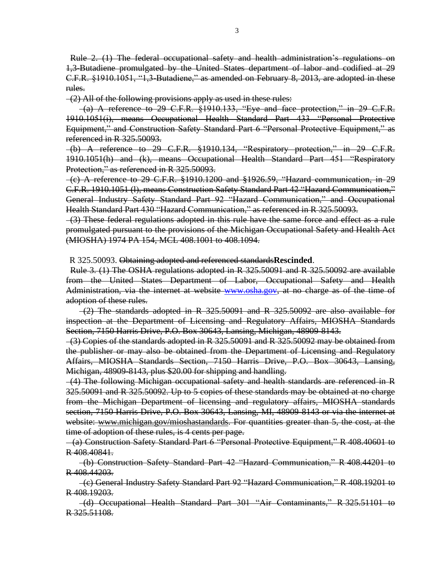Rule 2. (1) The federal occupational safety and health administration's regulations on 1,3-Butadiene promulgated by the United States department of labor and codified at 29 C.F.R. §1910.1051, "1,3-Butadiene," as amended on February 8, 2013, are adopted in these rules.

 $-(2)$  All of the following provisions apply as used in these rules:

 $(a)$  A reference to 29 C.F.R.  $\S$ 1910.133, "Eye and face protection," in 29 C.F.R. 1910.1051(i), means Occupational Health Standard Part 433 "Personal Protective Equipment," and Construction Safety Standard Part 6 "Personal Protective Equipment," as referenced in R 325.50093.

 (b) A reference to 29 C.F.R. §1910.134, "Respiratory protection," in 29 C.F.R. 1910.1051(h) and (k), means Occupational Health Standard Part 451 "Respiratory Protection," as referenced in R 325.50093.

 $-(c)$  A reference to 29 C.F.R.  $§1910.1200$  and  $§1926.59$ , "Hazard communication, in 29 C.F.R. 1910.1051 (l), means Construction Safety Standard Part 42 "Hazard Communication," General Industry Safety Standard Part 92 "Hazard Communication," and Occupational Health Standard Part 430 "Hazard Communication," as referenced in R 325.50093.

(3) These federal regulations adopted in this rule have the same force and effect as a rule promulgated pursuant to the provisions of the Michigan Occupational Safety and Health Act (MIOSHA) 1974 PA 154, MCL 408.1001 to 408.1094.

R 325.50093. Obtaining adopted and referenced standards**Rescinded**.

 Rule 3. (1) The OSHA regulations adopted in R 325.50091 and R 325.50092 are available from the United States Department of Labor, Occupational Safety and Health Administration, via the internet at website [www.osha.gov,](http://www.osha.gov/) at no charge as of the time of adoption of these rules.

 $-(2)$  The standards adopted in R 325.50091 and R 325.50092 are also available for inspection at the Department of Licensing and Regulatory Affairs, MIOSHA Standards Section, 7150 Harris Drive, P.O. Box 30643, Lansing, Michigan, 48909-8143.

 $-(3)$  Copies of the standards adopted in R 325.50091 and R 325.50092 may be obtained from the publisher or may also be obtained from the Department of Licensing and Regulatory Affairs, MIOSHA Standards Section, 7150 Harris Drive, P.O. Box 30643, Lansing, Michigan, 48909-8143, plus \$20.00 for shipping and handling.

 (4) The following Michigan occupational safety and health standards are referenced in R 325.50091 and R 325.50092. Up to 5 copies of these standards may be obtained at no charge from the Michigan Department of licensing and regulatory affairs, MIOSHA standards section, 7150 Harris Drive, P.O. Box 30643, Lansing, MI, 48909-8143 or via the internet at website: [www.michigan.gov/mioshastandards.](http://www.michigan.gov/mioshastandards) For quantities greater than 5, the cost, at the time of adoption of these rules, is 4 cents per page.

 (a) Construction Safety Standard Part 6 "Personal Protective Equipment," R 408.40601 to R 408.40841.

 (b) Construction Safety Standard Part 42 "Hazard Communication," R 408.44201 to R 408.44203.

 (c) General Industry Safety Standard Part 92 "Hazard Communication," R 408.19201 to R 408.19203.

 (d) Occupational Health Standard Part 301 "Air Contaminants," R 325.51101 to R 325.51108.